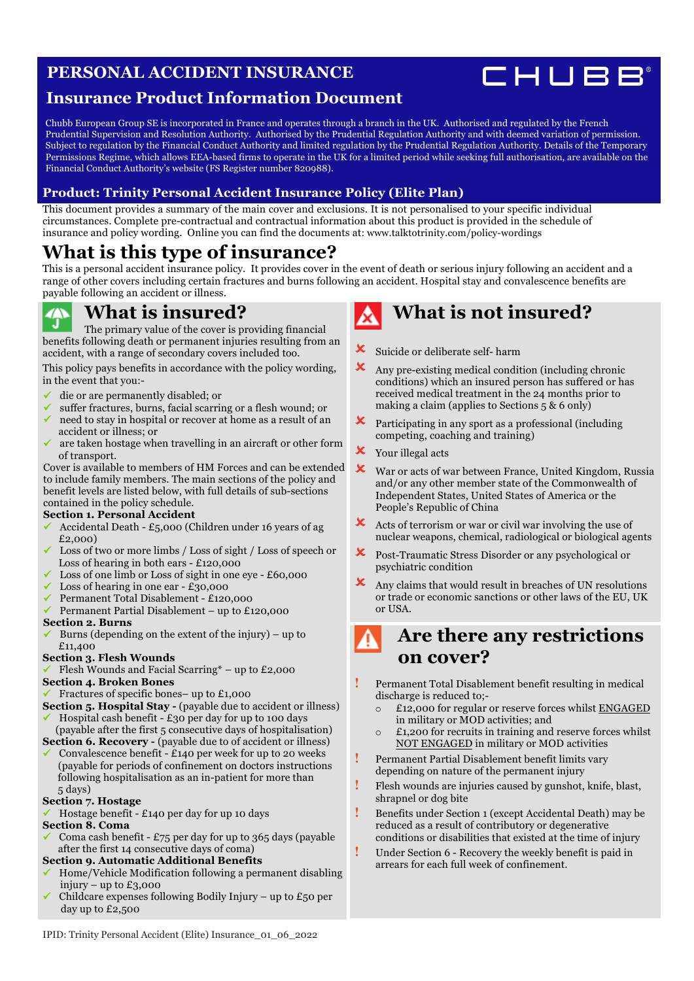### **PERSONAL ACCIDENT INSURANCE**



### **Insurance Product Information Document**

Chubb European Group SE is incorporated in France and operates through a branch in the UK. Authorised and regulated by the French Prudential Supervision and Resolution Authority. Authorised by the Prudential Regulation Authority and with deemed variation of permission. Subject to regulation by the Financial Conduct Authority and limited regulation by the Prudential Regulation Authority. Details of the Temporary Permissions Regime, which allows EEA-based firms to operate in the UK for a limited period while seeking full authorisation, are available on the Financial Conduct Authority's website (FS Register number 820988).

#### **Product: Trinity Personal Accident Insurance Policy (Elite Plan)**

This document provides a summary of the main cover and exclusions. It is not personalised to your specific individual circumstances. Complete pre-contractual and contractual information about this product is provided in the schedule of insurance and policy wording. Online you can find the documents at: [www.talktotrinity.com/policy-wordings](https://www.talktotrinity.com/policy-wordings)

### **What is this type of insurance?**

This is a personal accident insurance policy. It provides cover in the event of death or serious injury following an accident and a range of other covers including certain fractures and burns following an accident. Hospital stay and convalescence benefits are payable following an accident or illness.

### **What is insured?**

The primary value of the cover is providing financial benefits following death or permanent injuries resulting from an accident, with a range of secondary covers included too.

This policy pays benefits in accordance with the policy wording, in the event that you:-

- ü die or are permanently disabled; or
- ü suffer fractures, burns, facial scarring or a flesh wound; or
- ü need to stay in hospital or recover at home as a result of an accident or illness; or
- ü are taken hostage when travelling in an aircraft or other form of transport.

Cover is available to members of HM Forces and can be extended to include family members. The main sections of the policy and benefit levels are listed below, with full details of sub-sections contained in the policy schedule.

#### **Section 1. Personal Accident**

- ü Accidental Death £5,000 (Children under 16 years of ag £2,000)
- Loss of two or more limbs / Loss of sight / Loss of speech or Loss of hearing in both ears - £120,000
- Loss of one limb or Loss of sight in one eye £60,000
- Loss of hearing in one ear  $£30,000$
- ü Permanent Total Disablement £120,000
- ü Permanent Partial Disablement up to £120,000

#### **Section 2. Burns**

Burns (depending on the extent of the injury) – up to £11,400

#### **Section 3. Flesh Wounds**

Flesh Wounds and Facial Scarring\* – up to £2,000

#### **Section 4. Broken Bones**

- ü Fractures of specific bones– up to £1,000
- **Section 5. Hospital Stay** (payable due to accident or illness) Hospital cash benefit -  $£30$  per day for up to 100 days
- (payable after the first 5 consecutive days of hospitalisation)
- **Section 6. Recovery** (payable due to of accident or illness) Convalescence benefit - £140 per week for up to 20 weeks (payable for periods of confinement on doctors instructions following hospitalisation as an in-patient for more than 5 days)

#### **Section 7. Hostage**

ü Hostage benefit - £140 per day for up 10 days

### **Section 8. Coma**

Coma cash benefit -  $£75$  per day for up to 365 days (payable after the first 14 consecutive days of coma)

#### **Section 9. Automatic Additional Benefits**

- ü Home/Vehicle Modification following a permanent disabling injury – up to  $£3,000$
- Childcare expenses following Bodily Injury up to £50 per day up to £2,500

# **What is not insured?**

- **X** Suicide or deliberate self- harm
- $\mathbf{\times}$  Any pre-existing medical condition (including chronic conditions) which an insured person has suffered or has received medical treatment in the 24 months prior to making a claim (applies to Sections 5 & 6 only)
- $\boldsymbol{\times}$  Participating in any sport as a professional (including competing, coaching and training)
- **X** Your illegal acts
- ! War or acts of war between France, United Kingdom, Russia and/or any other member state of the Commonwealth of Independent States, United States of America or the People's Republic of China
- $\mathsf{\times}$  Acts of terrorism or war or civil war involving the use of nuclear weapons, chemical, radiological or biological agents
- ! Post-Traumatic Stress Disorder or any psychological or psychiatric condition
- ! Any claims that would result in breaches of UN resolutions or trade or economic sanctions or other laws of the EU, UK or USA.

### **Are there any restrictions on cover?**

- **!** Permanent Total Disablement benefit resulting in medical discharge is reduced to;
	- o £12,000 for regular or reserve forces whilst ENGAGED in military or MOD activities; and
	- o £1,200 for recruits in training and reserve forces whilst NOT ENGAGED in military or MOD activities
- **!** Permanent Partial Disablement benefit limits vary depending on nature of the permanent injury
- **!** Flesh wounds are injuries caused by gunshot, knife, blast, shrapnel or dog bite
- **!** Benefits under Section 1 (except Accidental Death) may be reduced as a result of contributory or degenerative conditions or disabilities that existed at the time of injury
- **!** Under Section 6 Recovery the weekly benefit is paid in arrears for each full week of confinement.